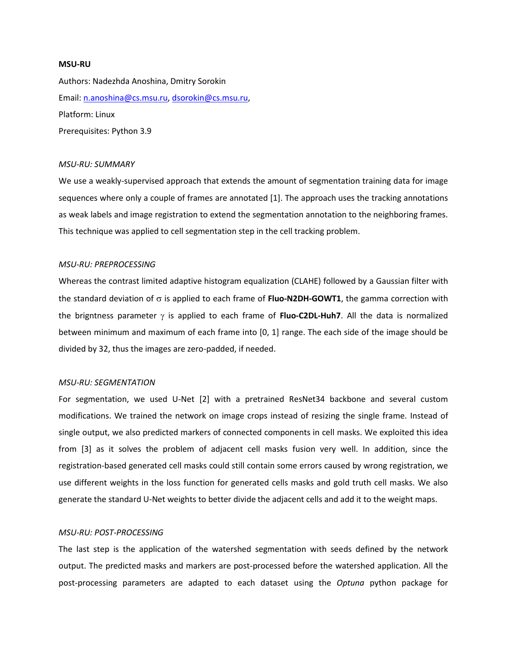#### **MSU-RU**

Authors: Nadezhda Anoshina, Dmitry Sorokin Email: [n.anoshina@cs.msu.ru,](mailto:n.anoshina@cs.msu.ru) [dsorokin@cs.msu.ru,](mailto:dsorokin@cs.msu.ru) Platform: Linux Prerequisites: Python 3.9

#### *MSU-RU: SUMMARY*

We use a weakly-supervised approach that extends the amount of segmentation training data for image sequences where only a couple of frames are annotated [1]. The approach uses the tracking annotations as weak labels and image registration to extend the segmentation annotation to the neighboring frames. This technique was applied to cell segmentation step in the cell tracking problem.

### *MSU-RU: PREPROCESSING*

Whereas the contrast limited adaptive histogram equalization (CLAHE) followed by a Gaussian filter with the standard deviation of  $\sigma$  is applied to each frame of **Fluo-N2DH-GOWT1**, the gamma correction with the brigntness parameter  $\gamma$  is applied to each frame of **Fluo-C2DL-Huh7**. All the data is normalized between minimum and maximum of each frame into [0, 1] range. The each side of the image should be divided by 32, thus the images are zero-padded, if needed.

## *MSU-RU: SEGMENTATION*

For segmentation, we used U-Net [2] with a pretrained ResNet34 backbone and several custom modifications. We trained the network on image crops instead of resizing the single frame. Instead of single output, we also predicted markers of connected components in cell masks. We exploited this idea from [3] as it solves the problem of adjacent cell masks fusion very well. In addition, since the registration-based generated cell masks could still contain some errors caused by wrong registration, we use different weights in the loss function for generated cells masks and gold truth cell masks. We also generate the standard U-Net weights to better divide the adjacent cells and add it to the weight maps.

# *MSU-RU: POST-PROCESSING*

The last step is the application of the watershed segmentation with seeds defined by the network output. The predicted masks and markers are post-processed before the watershed application. All the post-processing parameters are adapted to each dataset using the *Optuna* python package for